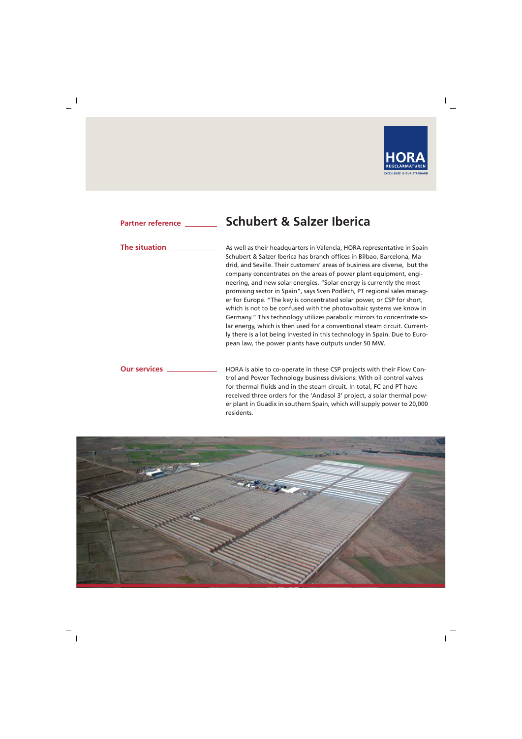

### **Schubert & Salzer Iberica Partner reference**

# **The situation**

As well as their headquarters in Valencia, HORA representative in Spain Schubert & Salzer Iberica has branch offices in Bilbao, Barcelona, Madrid, and Seville. Their customers' areas of business are diverse, but the company concentrates on the areas of power plant equipment, engineering, and new solar energies. "Solar energy is currently the most promising sector in Spain", says Sven Podlech, PT regional sales manager for Europe. "The key is concentrated solar power, or CSP for short, which is not to be confused with the photovoltaic systems we know in Germany." This technology utilizes parabolic mirrors to concentrate solar energy, which is then used for a conventional steam circuit. Currently there is a lot being invested in this technology in Spain. Due to European law, the power plants have outputs under 50 MW.

# **Our services**

HORA is able to co-operate in these CSP projects with their Flow Control and Power Technology business divisions: With oil control valves for thermal fluids and in the steam circuit. In total, FC and PT have received three orders for the 'Andasol 3' project, a solar thermal power plant in Guadix in southern Spain, which will supply power to 20,000 residents.